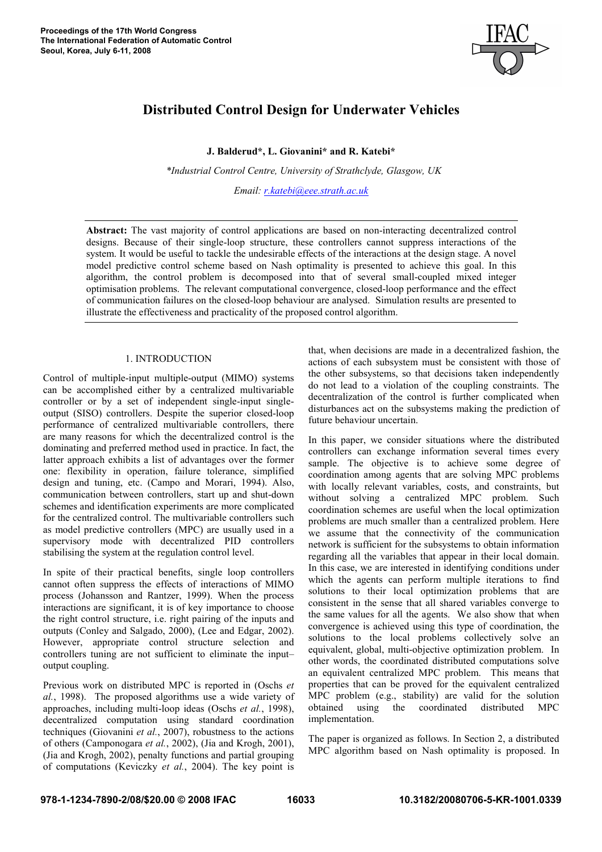

# Distributed Control Design for Underwater Vehicles

J. Balderud\*, L. Giovanini\* and R. Katebi\*

 *\*Industrial Control Centre, University of Strathclyde, Glasgow, UK* 

*Email: r.katebi@eee.strath.ac.uk*

Abstract: The vast majority of control applications are based on non-interacting decentralized control designs. Because of their single-loop structure, these controllers cannot suppress interactions of the system. It would be useful to tackle the undesirable effects of the interactions at the design stage. A novel model predictive control scheme based on Nash optimality is presented to achieve this goal. In this algorithm, the control problem is decomposed into that of several small-coupled mixed integer optimisation problems. The relevant computational convergence, closed-loop performance and the effect of communication failures on the closed-loop behaviour are analysed. Simulation results are presented to illustrate the effectiveness and practicality of the proposed control algorithm.

## 1. INTRODUCTION

Control of multiple-input multiple-output (MIMO) systems can be accomplished either by a centralized multivariable controller or by a set of independent single-input singleoutput (SISO) controllers. Despite the superior closed-loop performance of centralized multivariable controllers, there are many reasons for which the decentralized control is the dominating and preferred method used in practice. In fact, the latter approach exhibits a list of advantages over the former one: flexibility in operation, failure tolerance, simplified design and tuning, etc. (Campo and Morari, 1994). Also, communication between controllers, start up and shut-down schemes and identification experiments are more complicated for the centralized control. The multivariable controllers such as model predictive controllers (MPC) are usually used in a supervisory mode with decentralized PID controllers stabilising the system at the regulation control level.

In spite of their practical benefits, single loop controllers cannot often suppress the effects of interactions of MIMO process (Johansson and Rantzer, 1999). When the process interactions are significant, it is of key importance to choose the right control structure, i.e. right pairing of the inputs and outputs (Conley and Salgado, 2000), (Lee and Edgar, 2002). However, appropriate control structure selection and controllers tuning are not sufficient to eliminate the input– output coupling.

Previous work on distributed MPC is reported in (Oschs *et al.*, 1998). The proposed algorithms use a wide variety of approaches, including multi-loop ideas (Oschs *et al.*, 1998), decentralized computation using standard coordination techniques (Giovanini *et al.*, 2007), robustness to the actions of others (Camponogara *et al.*, 2002), (Jia and Krogh, 2001), (Jia and Krogh, 2002), penalty functions and partial grouping of computations (Keviczky *et al.*, 2004). The key point is

that, when decisions are made in a decentralized fashion, the actions of each subsystem must be consistent with those of the other subsystems, so that decisions taken independently do not lead to a violation of the coupling constraints. The decentralization of the control is further complicated when disturbances act on the subsystems making the prediction of future behaviour uncertain.

In this paper, we consider situations where the distributed controllers can exchange information several times every sample. The objective is to achieve some degree of coordination among agents that are solving MPC problems with locally relevant variables, costs, and constraints, but without solving a centralized MPC problem. Such coordination schemes are useful when the local optimization problems are much smaller than a centralized problem. Here we assume that the connectivity of the communication network is sufficient for the subsystems to obtain information regarding all the variables that appear in their local domain. In this case, we are interested in identifying conditions under which the agents can perform multiple iterations to find solutions to their local optimization problems that are consistent in the sense that all shared variables converge to the same values for all the agents. We also show that when convergence is achieved using this type of coordination, the solutions to the local problems collectively solve an equivalent, global, multi-objective optimization problem. In other words, the coordinated distributed computations solve an equivalent centralized MPC problem. This means that properties that can be proved for the equivalent centralized MPC problem (e.g., stability) are valid for the solution obtained using the coordinated distributed MPC implementation.

The paper is organized as follows. In Section 2, a distributed MPC algorithm based on Nash optimality is proposed. In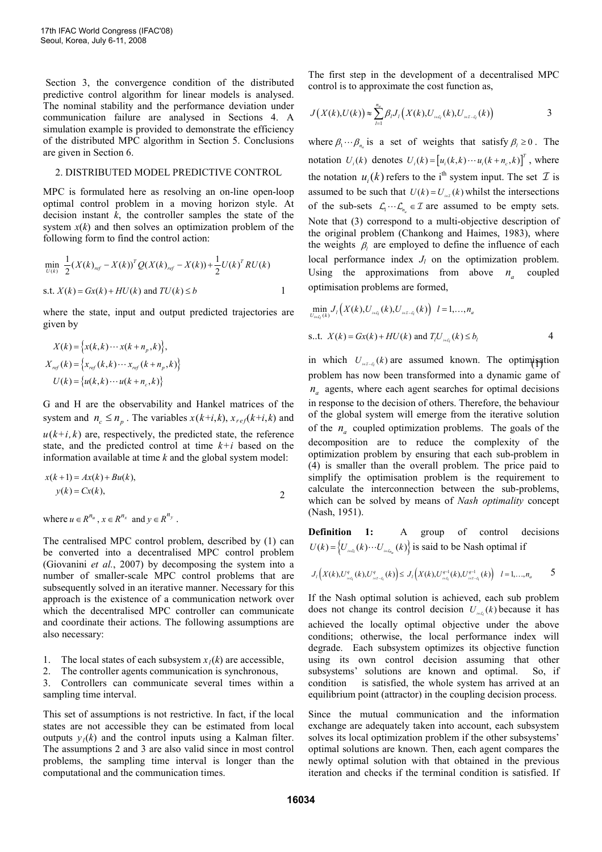Section 3, the convergence condition of the distributed predictive control algorithm for linear models is analysed. The nominal stability and the performance deviation under communication failure are analysed in Sections 4. A simulation example is provided to demonstrate the efficiency of the distributed MPC algorithm in Section 5. Conclusions are given in Section 6.

#### 2. DISTRIBUTED MODEL PREDICTIVE CONTROL

MPC is formulated here as resolving an on-line open-loop optimal control problem in a moving horizon style. At decision instant *k*, the controller samples the state of the system  $x(k)$  and then solves an optimization problem of the following form to find the control action:

$$
\min_{U(k)} \frac{1}{2} (X(k)_{ref} - X(k))^T Q(X(k)_{ref} - X(k)) + \frac{1}{2} U(k)^T R U(k)
$$
  
s.t.  $X(k) = Gx(k) + HU(k)$  and  $TU(k) \le b$ 

where the state, input and output predicted trajectories are given by

$$
X(k) = \left\{ x(k, k) \cdots x(k + n_p, k) \right\},
$$
  
\n
$$
X_{ref}(k) = \left\{ x_{ref}(k, k) \cdots x_{ref}(k + n_p, k) \right\}
$$
  
\n
$$
U(k) = \left\{ u(k, k) \cdots u(k + n_c, k) \right\}
$$

G and H are the observability and Hankel matrices of the system and  $n_e \leq n_n$ . The variables  $x(k+i, k)$ ,  $x_{ref}(k+i, k)$  and  $u(k+i, k)$  are, respectively, the predicted state, the reference state, and the predicted control at time *k*+*i* based on the information available at time *k* and the global system model:

$$
x(k+1) = Ax(k) + Bu(k),
$$
  
\n
$$
y(k) = Cx(k),
$$
 2

where  $u \in R^{n_u}$ ,  $x \in R^{n_x}$  and  $y \in R^{n_y}$ .

The centralised MPC control problem, described by (1) can be converted into a decentralised MPC control problem (Giovanini *et al.*, 2007) by decomposing the system into a number of smaller-scale MPC control problems that are subsequently solved in an iterative manner. Necessary for this approach is the existence of a communication network over which the decentralised MPC controller can communicate and coordinate their actions. The following assumptions are also necessary:

- 1. The local states of each subsystem  $x<sub>l</sub>(k)$  are accessible,<br>2. The controller agents communication is synchronous
- The controller agents communication is synchronous,

3. Controllers can communicate several times within a sampling time interval.

This set of assumptions is not restrictive. In fact, if the local states are not accessible they can be estimated from local outputs  $y_l(k)$  and the control inputs using a Kalman filter. The assumptions 2 and 3 are also valid since in most control problems, the sampling time interval is longer than the computational and the communication times.

The first step in the development of a decentralised MPC control is to approximate the cost function as,

$$
J(X(k),U(k)) \approx \sum_{l=1}^{n_a} \beta_l J_l(X(k),U_{i \in Q}(k),U_{i \in I-\mathcal{Q}}(k))
$$
 3

where  $\beta_1 \cdots \beta_{n_a}$  is a set of weights that satisfy  $\beta_i \ge 0$ . The notation  $U_i(k)$  denotes  $U_i(k) = [u_i(k, k) \cdots u_i(k + n_e, k)]^T$ , where the notation  $u_i(k)$  refers to the i<sup>th</sup> system input. The set  $\mathcal I$  is assumed to be such that  $U(k) = U_{i \in I}(k)$  whilst the intersections of the sub-sets  $\mathcal{L}_1 \cdots \mathcal{L}_{n_a} \in \mathcal{I}$  are assumed to be empty sets. Note that (3) correspond to a multi-objective description of the original problem (Chankong and Haimes, 1983), where the weights  $\beta_l$  are employed to define the influence of each local performance index  $J_l$  on the optimization problem. Using the approximations from above  $n_a$  coupled optimisation problems are formed,

$$
\min_{U_{ieG}(k)} J_{l}\left(X(k), U_{ieG}(k), U_{ieT-G}(k)\right) \quad l = 1, ..., n_{a}
$$
\n  
\n
$$
s.t. \quad X(k) = Gx(k) + HU(k) \text{ and } T_{l}U_{ieG}(k) \leq b_{l}
$$

in which  $U_{i \in I - Q}(k)$  are assumed known. The optimisation problem has now been transformed into a dynamic game of *a n* agents, where each agent searches for optimal decisions in response to the decision of others. Therefore, the behaviour of the global system will emerge from the iterative solution of the  $n_a$  coupled optimization problems. The goals of the decomposition are to reduce the complexity of the optimization problem by ensuring that each sub-problem in (4) is smaller than the overall problem. The price paid to simplify the optimisation problem is the requirement to calculate the interconnection between the sub-problems, which can be solved by means of *Nash optimality* concept (Nash, 1951).

Definition 1: A group of control decisions  $U(k) = \left\{ U_{i \in \Delta}(k) \cdots U_{i \in \Delta_{n}}(k) \right\}$  is said to be Nash optimal if

$$
J_{l}\left(X(k),U_{_{ic\zeta}}^{q}(k),U_{_{ic\zeta-\zeta}}^{q}(k)\right)\leq J_{l}\left(X(k),U_{_{ic\zeta}}^{q-1}(k),U_{_{ic\zeta-\zeta}}^{q-1}(k)\right)\ \ l=1,\ldots,n_{a} \qquad \qquad 5
$$

If the Nash optimal solution is achieved, each sub problem does not change its control decision  $U_{i \in \mathcal{Q}}(k)$  because it has achieved the locally optimal objective under the above conditions; otherwise, the local performance index will degrade. Each subsystem optimizes its objective function using its own control decision assuming that other subsystems' solutions are known and optimal. So, if condition is satisfied, the whole system has arrived at an equilibrium point (attractor) in the coupling decision process.

Since the mutual communication and the information exchange are adequately taken into account, each subsystem solves its local optimization problem if the other subsystems' optimal solutions are known. Then, each agent compares the newly optimal solution with that obtained in the previous iteration and checks if the terminal condition is satisfied. If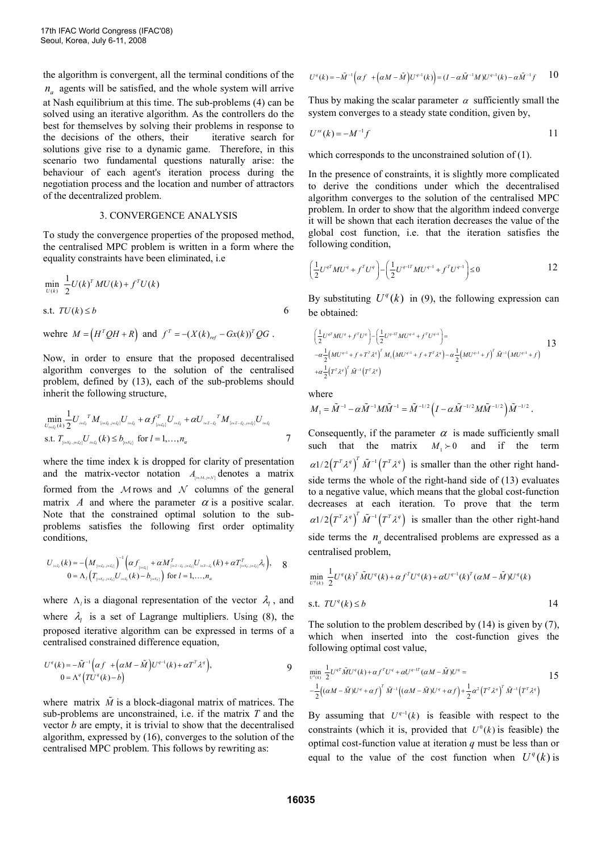the algorithm is convergent, all the terminal conditions of the *a n* agents will be satisfied, and the whole system will arrive at Nash equilibrium at this time. The sub-problems (4) can be solved using an iterative algorithm. As the controllers do the best for themselves by solving their problems in response to the decisions of the others, their iterative search for solutions give rise to a dynamic game. Therefore, in this scenario two fundamental questions naturally arise: the behaviour of each agent's iteration process during the negotiation process and the location and number of attractors of the decentralized problem.

### 3. CONVERGENCE ANALYSIS

To study the convergence properties of the proposed method, the centralised MPC problem is written in a form where the equality constraints have been eliminated, i.e

$$
\min_{U(k)} \frac{1}{2} U(k)^T M U(k) + f^T U(k)
$$
  
s.t.  $TU(k) \le b$  6

$$
\text{wehere } M = \left(H^T Q H + R\right) \text{ and } f^T = -\left(X(k)_{ref} - Gx(k)\right)^T Q G \ .
$$

Now, in order to ensure that the proposed decentralised algorithm converges to the solution of the centralised problem, defined by (13), each of the sub-problems should inherit the following structure,

$$
\min_{U_{i\in \mathcal{L}_l}(k)} \frac{1}{2} U_{i\in \mathcal{L}_l}^T M_{\{i\in \mathcal{L}_l, j\in \mathcal{L}_l\}} U_{i\in \mathcal{L}_l} + \alpha f_{\{i\in \mathcal{L}_l\}}^T U_{i\in \mathcal{L}_l} + \alpha U_{i\in \mathcal{I}-\mathcal{L}_l}^T M_{\{i\in \mathcal{I}-\mathcal{L}_l, j\in \mathcal{L}_l\}} U_{i\in \mathcal{L}_l}
$$
\ns.t.  $T_{\{i\in \mathcal{K}_l, j\in \mathcal{L}_l\}} U_{i\in \mathcal{L}_l} (k) \leq b_{\{i\in \mathcal{K}_l\}}$  for  $l = 1, ..., n_a$ 

where the time index k is dropped for clarity of presentation and the matrix-vector notation  $A_{\mu \in \mathcal{M}, j \in \mathcal{N}}$  denotes a matrix formed from the  $M$ rows and  $N$  columns of the general matrix *A* and where the parameter  $\alpha$  is a positive scalar. Note that the constrained optimal solution to the subproblems satisfies the following first order optimality conditions,

$$
U_{i\in \mathcal{L}_l}(k) = -\Big(M_{\{i\in \mathcal{L}_l, j\in \mathcal{L}_l\}}\Big)^{-1}\Big(\alpha f_{\{i\in \mathcal{L}_l\}} + \alpha M_{\{i\in \mathcal{I}-\mathcal{L}_l, j\in \mathcal{L}_l\}}^T U_{i\in \mathcal{I}-\mathcal{L}_l}(k) + \alpha T_{\{i\in \mathcal{K}_l, j\in \mathcal{L}_l\}}^T \lambda_l\Big), \quad 8
$$
  

$$
0 = \Lambda_l \Big(T_{\{i\in \mathcal{K}_l, j\in \mathcal{L}_l\}} U_{i\in \mathcal{L}_l}(k) - b_{\{i\in \mathcal{K}_l\}}\Big) \text{ for } l = 1, \ldots, n_a
$$

where  $\Lambda_i$  is a diagonal representation of the vector  $\lambda_i$ , and where  $\lambda_l$  is a set of Lagrange multipliers. Using (8), the proposed iterative algorithm can be expressed in terms of a centralised constrained difference equation,

$$
U^{q}(k) = -\tilde{M}^{-1}\Big(\alpha f + \Big(\alpha M - \tilde{M}\Big)U^{q-1}(k) + \alpha T^{T}\lambda^{q}\Big),
$$
  
0 =  $\Lambda^{q}\Big(TU^{q}(k) - b\Big)$ 

where matrix  $\tilde{M}$  is a block-diagonal matrix of matrices. The sub-problems are unconstrained, i.e. if the matrix *T* and the vector *b* are empty, it is trivial to show that the decentralised algorithm, expressed by (16), converges to the solution of the centralised MPC problem. This follows by rewriting as:

$$
U^q(k) = -\tilde{M}^{-1}\left(\alpha f \left. \left. + \left(\alpha M - \tilde{M}\right) U^{q-1}(k)\right.\right) = (I - \alpha \tilde{M}^{-1}M)U^{q-1}(k) - \alpha \tilde{M}^{-1}f \right. \qquad 10
$$

Thus by making the scalar parameter  $\alpha$  sufficiently small the system converges to a steady state condition, given by,

$$
U^{ss}(k) = -M^{-1}f
$$

which corresponds to the unconstrained solution of (1).

In the presence of constraints, it is slightly more complicated to derive the conditions under which the decentralised algorithm converges to the solution of the centralised MPC problem. In order to show that the algorithm indeed converge it will be shown that each iteration decreases the value of the global cost function, i.e. that the iteration satisfies the following condition,

$$
\left(\frac{1}{2}U^{q}^{T}MU^{q} + f^{T}U^{q}\right) - \left(\frac{1}{2}U^{q-1}^{T}MU^{q-1} + f^{T}U^{q-1}\right) \leq 0
$$
 12

By substituting  $U^q(k)$  in (9), the following expression can be obtained:

$$
\left(\frac{1}{2}U^{q^T}MU^q + f^T U^q\right) - \left(\frac{1}{2}U^{q^{-1T}}MU^{q^{-1}} + f^T U^{q^{-1}}\right) =
$$
\n
$$
- \alpha \frac{1}{2} \left(MU^{q^{-1}} + f + T^T \lambda^q\right)^T M_1 \left(MU^{q^{-1}} + f + T^T \lambda^q\right) - \alpha \frac{1}{2} \left(MU^{q^{-1}} + f\right)^T \tilde{M}^{-1} \left(MU^{q^{-1}} + f\right)
$$
\n
$$
+ \alpha \frac{1}{2} \left(T^T \lambda^q\right)^T \tilde{M}^{-1} \left(T^T \lambda^q\right)
$$

where

$$
M_1 = \tilde{M}^{-1} - \alpha \tilde{M}^{-1} M \tilde{M}^{-1} = \tilde{M}^{-1/2} \left( I - \alpha \tilde{M}^{-1/2} M \tilde{M}^{-1/2} \right) \tilde{M}^{-1/2} .
$$

Consequently, if the parameter  $\alpha$  is made sufficiently small such that the matrix  $M_1 \succ 0$  and if the term  $\alpha$ 1/2 $(T^T \lambda^q)$ <sup>T</sup>  $\tilde{M}^{-1}(T^T \lambda^q)$  is smaller than the other right handside terms the whole of the right-hand side of (13) evaluates to a negative value, which means that the global cost-function decreases at each iteration. To prove that the term  $\alpha$ 1/2 $(T^T \lambda^q)$ <sup>T</sup>  $\tilde{M}^{-1}(T^T \lambda^q)$  is smaller than the other right-hand side terms the  $n_a$  decentralised problems are expressed as a centralised problem,

$$
\min_{U^q(k)} \frac{1}{2} U^q(k)^T \tilde{M} U^q(k) + \alpha f^T U^q(k) + \alpha U^{q-1}(k)^T (\alpha M - \tilde{M}) U^q(k)
$$
\ns.t.

\n
$$
TU^q(k) \leq b
$$
\n14

The solution to the problem described by (14) is given by (7), which when inserted into the cost-function gives the following optimal cost value,

$$
\min_{U^q(k)} \frac{1}{2} U^{qT} \tilde{M} U^q(k) + \alpha f^T U^q + \alpha U^{q-1T} (\alpha M - \tilde{M}) U^q =
$$
\n
$$
- \frac{1}{2} ((\alpha M - \tilde{M}) U^q + \alpha f)^T \tilde{M}^{-1} ((\alpha M - \tilde{M}) U^q + \alpha f) + \frac{1}{2} \alpha^2 (T^T \lambda^q)^T \tilde{M}^{-1} (T^T \lambda^q)
$$

By assuming that  $U^{q-1}(k)$  is feasible with respect to the constraints (which it is, provided that  $U^0(k)$  is feasible) the optimal cost-function value at iteration *q* must be less than or equal to the value of the cost function when  $U^q(k)$  is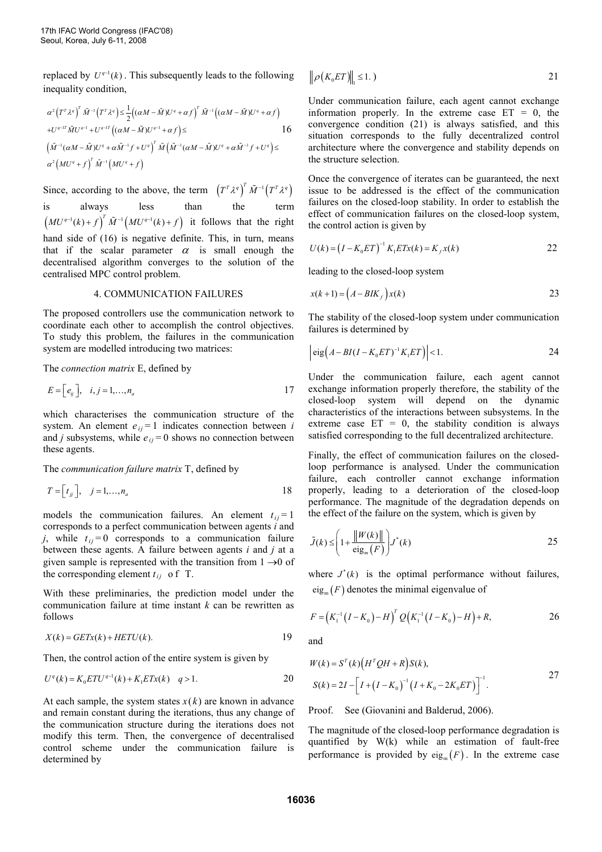replaced by  $U^{q-1}(k)$ . This subsequently leads to the following inequality condition,

$$
\alpha^2 \left(T^T \lambda^q\right)^T \tilde{M}^{-1} \left(T^T \lambda^q\right) \le \frac{1}{2} \left((\alpha M - \tilde{M}) U^q + \alpha f\right)^T \tilde{M}^{-1} \left((\alpha M - \tilde{M}) U^q + \alpha f\right)
$$
  
+ 
$$
U^{q-1} \tilde{M} U^{q-1} + U^{q-1} \left((\alpha M - \tilde{M}) U^{q-1} + \alpha f\right) \le 16
$$
  

$$
\left(\tilde{M}^{-1} (\alpha M - \tilde{M}) U^q + \alpha \tilde{M}^{-1} f + U^q\right)^T \tilde{M} \left(\tilde{M}^{-1} (\alpha M - \tilde{M}) U^q + \alpha \tilde{M}^{-1} f + U^q\right) \le
$$
  

$$
\alpha^2 \left(M U^q + f\right)^T \tilde{M}^{-1} \left(M U^q + f\right)
$$

Since, according to the above, the term  $(T^T \lambda^q)^\text{T} \tilde{M}^{-1} (T^T \lambda^q)$ is always less than the term  $\left(MU^{q-1}(k)+f\right)^T \tilde{M}^{-1}\left(MU^{q-1}(k)+f\right)$  it follows that the right hand side of (16) is negative definite. This, in turn, means that if the scalar parameter  $\alpha$  is small enough the decentralised algorithm converges to the solution of the centralised MPC control problem.

#### 4. COMMUNICATION FAILURES

The proposed controllers use the communication network to coordinate each other to accomplish the control objectives. To study this problem, the failures in the communication system are modelled introducing two matrices:

The *connection matrix* E, defined by

$$
E = \left[ e_{ij} \right], \quad i, j = 1, \dots, n_a \tag{17}
$$

which characterises the communication structure of the system. An element  $e_{ij} = 1$  indicates connection between *i* and *j* subsystems, while  $e_{ij} = 0$  shows no connection between these agents.

The *communication failure matrix* T, defined by

$$
T = \begin{bmatrix} t_{jj} \end{bmatrix}, \quad j = 1, \dots, n_a
$$

models the communication failures. An element  $t_{ii} = 1$ corresponds to a perfect communication between agents *i* and *j*, while  $t_{ij} = 0$  corresponds to a communication failure between these agents. A failure between agents *i* and *j* at a given sample is represented with the transition from  $1 \rightarrow 0$  of the corresponding element  $t_{ij}$  of T.

With these preliminaries, the prediction model under the communication failure at time instant *k* can be rewritten as follows

$$
X(k) = GETx(k) + HETU(k).
$$

Then, the control action of the entire system is given by

$$
U^{q}(k) = K_0 E T U^{q-1}(k) + K_1 E T x(k) \quad q > 1.
$$

At each sample, the system states  $x(k)$  are known in advance and remain constant during the iterations, thus any change of the communication structure during the iterations does not modify this term. Then, the convergence of decentralised control scheme under the communication failure is determined by

$$
\rho\big(K_0 E T\big)\big\|_1 \le 1. \tag{21}
$$

Under communication failure, each agent cannot exchange information properly. In the extreme case  $ET = 0$ , the convergence condition (21) is always satisfied, and this situation corresponds to the fully decentralized control architecture where the convergence and stability depends on the structure selection.

Once the convergence of iterates can be guaranteed, the next issue to be addressed is the effect of the communication failures on the closed-loop stability. In order to establish the effect of communication failures on the closed-loop system, the control action is given by

$$
U(k) = (I - K_0 ET)^{-1} K_1 ETx(k) = K_f x(k)
$$

leading to the closed-loop system

 $\parallel$ 

$$
x(k+1) = \left(A - BLK_f\right)x(k) \tag{23}
$$

The stability of the closed-loop system under communication failures is determined by

$$
\left| \text{eig}\left(A - BI(I - K_0 ET)^{-1} K_1 ET\right) \right| < 1. \tag{24}
$$

Under the communication failure, each agent cannot exchange information properly therefore, the stability of the closed-loop system will depend on the dynamic characteristics of the interactions between subsystems. In the extreme case  $ET = 0$ , the stability condition is always satisfied corresponding to the full decentralized architecture.

Finally, the effect of communication failures on the closedloop performance is analysed. Under the communication failure, each controller cannot exchange information properly, leading to a deterioration of the closed-loop performance. The magnitude of the degradation depends on the effect of the failure on the system, which is given by

$$
\tilde{J}(k) \le \left(1 + \frac{\|W(k)\|}{\text{eig}_m(F)}\right) J^*(k) \tag{25}
$$

where  $J^*(k)$  is the optimal performance without failures,  $eig<sub>m</sub>(F)$  denotes the minimal eigenvalue of

$$
F = (K_1^{-1}(I - K_0) - H)^T Q(K_1^{-1}(I - K_0) - H) + R, \qquad 26
$$

and

$$
W(k) = S^{T}(k) (H^{T}QH + R)S(k),
$$
  
\n
$$
S(k) = 2I - [I + (I - K_{0})^{-1} (I + K_{0} - 2K_{0}ET)]^{-1}.
$$

Proof. See (Giovanini and Balderud, 2006).

The magnitude of the closed-loop performance degradation is quantified by W(k) while an estimation of fault-free performance is provided by  $eig_m(F)$ . In the extreme case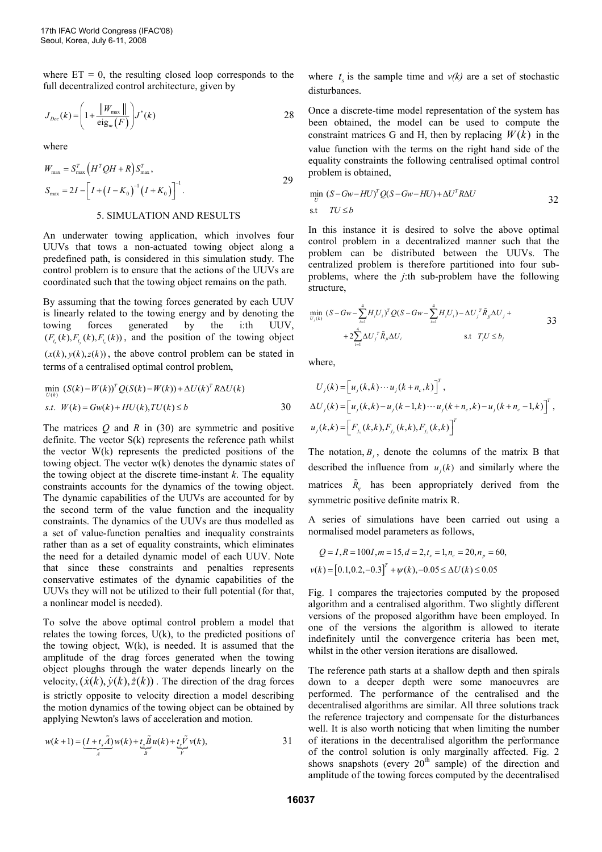where  $ET = 0$ , the resulting closed loop corresponds to the full decentralized control architecture, given by

$$
J_{Dec}(k) = \left(1 + \frac{\|W_{\max}\|}{\text{eig}_m(F)}\right) J^*(k)
$$

where

$$
W_{\text{max}} = S_{\text{max}}^T \left( H^T Q H + R \right) S_{\text{max}}^T,
$$
  

$$
S_{\text{max}} = 2I - \left[ I + \left( I - K_0 \right)^{-1} \left( I + K_0 \right) \right]^{-1}.
$$

# 5. SIMULATION AND RESULTS

An underwater towing application, which involves four UUVs that tows a non-actuated towing object along a predefined path, is considered in this simulation study. The control problem is to ensure that the actions of the UUVs are coordinated such that the towing object remains on the path.

By assuming that the towing forces generated by each UUV is linearly related to the towing energy and by denoting the towing forces generated by the i:th UUV,  $(F_{i_x}(k), F_{i_y}(k), F_{i_z}(k))$ , and the position of the towing object  $(x(k), y(k), z(k))$ , the above control problem can be stated in terms of a centralised optimal control problem,

$$
\min_{U(k)} (S(k) - W(k))^{T} Q(S(k) - W(k)) + \Delta U(k)^{T} R \Delta U(k)
$$
  
s.t. 
$$
W(k) = Gw(k) + HU(k), TU(k) \le b
$$

The matrices *Q* and *R* in (30) are symmetric and positive definite. The vector S(k) represents the reference path whilst the vector W(k) represents the predicted positions of the towing object. The vector w(k) denotes the dynamic states of the towing object at the discrete time-instant *k*. The equality constraints accounts for the dynamics of the towing object. The dynamic capabilities of the UUVs are accounted for by the second term of the value function and the inequality constraints. The dynamics of the UUVs are thus modelled as a set of value-function penalties and inequality constraints rather than as a set of equality constraints, which eliminates the need for a detailed dynamic model of each UUV. Note that since these constraints and penalties represents conservative estimates of the dynamic capabilities of the UUVs they will not be utilized to their full potential (for that, a nonlinear model is needed).

To solve the above optimal control problem a model that relates the towing forces,  $U(k)$ , to the predicted positions of the towing object, W(k), is needed. It is assumed that the amplitude of the drag forces generated when the towing object ploughs through the water depends linearly on the velocity,  $(\dot{x}(k), \dot{y}(k), \dot{z}(k))$ . The direction of the drag forces is strictly opposite to velocity direction a model describing the motion dynamics of the towing object can be obtained by applying Newton's laws of acceleration and motion.

$$
w(k+1) = \underbrace{(I+t_s\widetilde{A})}_{A}w(k) + \underbrace{t_s\widetilde{B}}_{B}u(k) + \underbrace{t_s\widetilde{V}}_{V}v(k),
$$

where  $t_s$  is the sample time and  $v(k)$  are a set of stochastic disturbances.

Once a discrete-time model representation of the system has been obtained, the model can be used to compute the constraint matrices G and H, then by replacing  $W(k)$  in the value function with the terms on the right hand side of the equality constraints the following centralised optimal control problem is obtained,

$$
\min_{U} (S - Gw - HU)^T Q(S - Gw - HU) + \Delta U^T R \Delta U
$$
  
s.t  $TU \le b$  32

In this instance it is desired to solve the above optimal control problem in a decentralized manner such that the problem can be distributed between the UUVs. The centralized problem is therefore partitioned into four subproblems, where the *j*:th sub-problem have the following structure,

$$
\min_{U_j(k)} (S - Gw - \sum_{i=1}^4 H_i U_i)^T Q (S - Gw - \sum_{i=1}^4 H_i U_i) - \Delta U_j^T \tilde{R}_{jj} \Delta U_j +
$$
  
+  $2 \sum_{i=1}^4 \Delta U_j^T \tilde{R}_{jj} \Delta U_i$  s.t  $T_j U \le b_j$ 

where,

$$
U_j(k) = [u_j(k, k) \cdots u_j(k + n_c, k)]^T,
$$
  
\n
$$
\Delta U_j(k) = [u_j(k, k) - u_j(k - 1, k) \cdots u_j(k + n_c, k) - u_j(k + n_c - 1, k)]^T,
$$
  
\n
$$
u_j(k, k) = [F_{j_x}(k, k), F_{j_y}(k, k), F_{j_z}(k, k)]^T
$$

The notation,  $B_j$ , denote the columns of the matrix B that described the influence from  $u_j(k)$  and similarly where the matrices  $\tilde{R}_{ij}$  has been appropriately derived from the symmetric positive definite matrix R.

A series of simulations have been carried out using a normalised model parameters as follows,

$$
Q = I, R = 100I, m = 15, d = 2, t_s = 1, n_c = 20, n_p = 60,
$$
  

$$
v(k) = [0.1, 0.2, -0.3]^T + \psi(k), -0.05 \le \Delta U(k) \le 0.05
$$

Fig. 1 compares the trajectories computed by the proposed algorithm and a centralised algorithm. Two slightly different versions of the proposed algorithm have been employed. In one of the versions the algorithm is allowed to iterate indefinitely until the convergence criteria has been met, whilst in the other version iterations are disallowed.

The reference path starts at a shallow depth and then spirals down to a deeper depth were some manoeuvres are performed. The performance of the centralised and the decentralised algorithms are similar. All three solutions track the reference trajectory and compensate for the disturbances well. It is also worth noticing that when limiting the number of iterations in the decentralised algorithm the performance of the control solution is only marginally affected. Fig. 2 shows snapshots (every  $20<sup>th</sup>$  sample) of the direction and amplitude of the towing forces computed by the decentralised